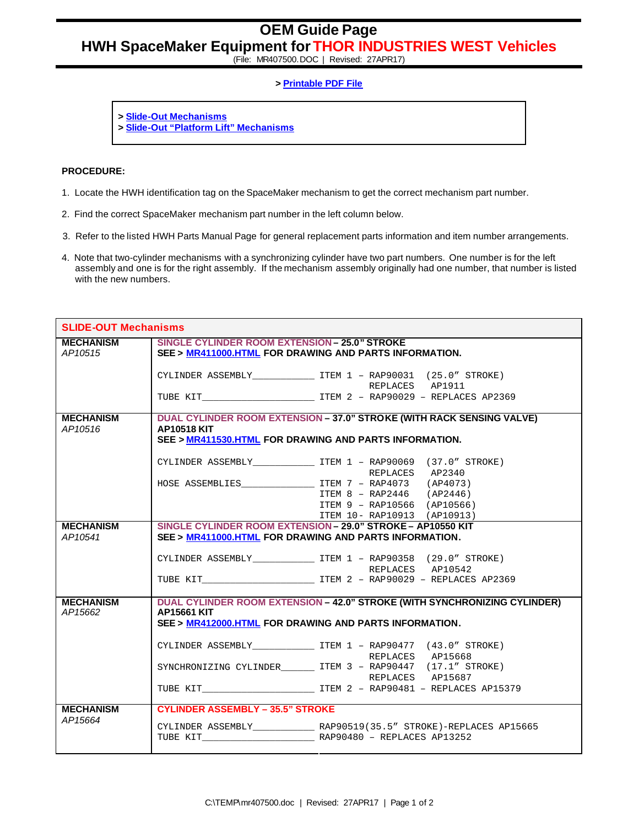**OEM Guide Page**

**HWH SpaceMaker Equipment for THOR INDUSTRIES WEST Vehicles**

(File: MR407500.DOC | Revised: 27APR17)

## **> Printable PDF File**

- **> Slide-Out Mechanisms**
- **> Slide-Out "Platform Lift" Mechanisms**

## **PROCEDURE:**

- 1. Locate the HWH identification tag on the SpaceMaker mechanism to get the correct mechanism part number.
- 2. Find the correct SpaceMaker mechanism part number in the left column below.
- 3. Refer to the listed HWH Parts Manual Page for general replacement parts information and item number arrangements.
- 4. Note that two-cylinder mechanisms with a synchronizing cylinder have two part numbers. One number is for the left assembly and one is for the right assembly. If the mechanism assembly originally had one number, that number is listed with the new numbers.

| <b>SLIDE-OUT Mechanisms</b>             |                                                                                                                                                                                                                            |                                                                                                                                                                                                                                                                                                          |  |
|-----------------------------------------|----------------------------------------------------------------------------------------------------------------------------------------------------------------------------------------------------------------------------|----------------------------------------------------------------------------------------------------------------------------------------------------------------------------------------------------------------------------------------------------------------------------------------------------------|--|
| <b>MECHANISM</b><br>AP <sub>10515</sub> | <b>SINGLE CYLINDER ROOM EXTENSION - 25.0" STROKE</b><br>SEE > MR411000.HTML FOR DRAWING AND PARTS INFORMATION.                                                                                                             |                                                                                                                                                                                                                                                                                                          |  |
|                                         |                                                                                                                                                                                                                            | CYLINDER ASSEMBLY________________ ITEM 1 - RAP90031 (25.0" STROKE)<br>REPLACES AP1911                                                                                                                                                                                                                    |  |
|                                         |                                                                                                                                                                                                                            |                                                                                                                                                                                                                                                                                                          |  |
| <b>MECHANISM</b><br>AP10516             | DUAL CYLINDER ROOM EXTENSION - 37.0" STROKE (WITH RACK SENSING VALVE)<br><b>AP10518 KIT</b><br>SEE > MR411530.HTML FOR DRAWING AND PARTS INFORMATION.                                                                      |                                                                                                                                                                                                                                                                                                          |  |
|                                         |                                                                                                                                                                                                                            | CYLINDER ASSEMBLY _______________ ITEM 1 - RAP90069 (37.0" STROKE)<br>REPLACES AP2340                                                                                                                                                                                                                    |  |
|                                         |                                                                                                                                                                                                                            | $ITEM 8 - RAP2446 (AP2446)$<br>ITEM 9 - RAP10566 (AP10566)                                                                                                                                                                                                                                               |  |
| <b>MECHANISM</b><br>AP10541             | ITEM 10- RAP10913 (AP10913)<br>SINGLE CYLINDER ROOM EXTENSION - 29.0" STROKE - AP10550 KIT<br>SEE > MR411000.HTML FOR DRAWING AND PARTS INFORMATION.<br>CYLINDER ASSEMBLY _______________ ITEM 1 - RAP90358 (29.0" STROKE) |                                                                                                                                                                                                                                                                                                          |  |
|                                         |                                                                                                                                                                                                                            | REPLACES AP10542<br>TUBE KIT TEM 2 - RAP90029 - REPLACES AP2369                                                                                                                                                                                                                                          |  |
| <b>MECHANISM</b><br>AP15662             | <b>AP15661 KIT</b><br>SEE > MR412000.HTML FOR DRAWING AND PARTS INFORMATION.                                                                                                                                               | DUAL CYLINDER ROOM EXTENSION - 42.0" STROKE (WITH SYNCHRONIZING CYLINDER)<br>CYLINDER ASSEMBLY ______________ ITEM 1 - RAP90477 (43.0" STROKE)<br>REPLACES AP15668<br>SYNCHRONIZING CYLINDER ______ ITEM 3 - RAP90447 (17.1" STROKE)<br>REPLACES AP15687<br>TUBE KIT TEM 2 - RAP90481 - REPLACES AP15379 |  |
| <b>MECHANISM</b><br>AP15664             | <b>CYLINDER ASSEMBLY - 35.5" STROKE</b>                                                                                                                                                                                    |                                                                                                                                                                                                                                                                                                          |  |